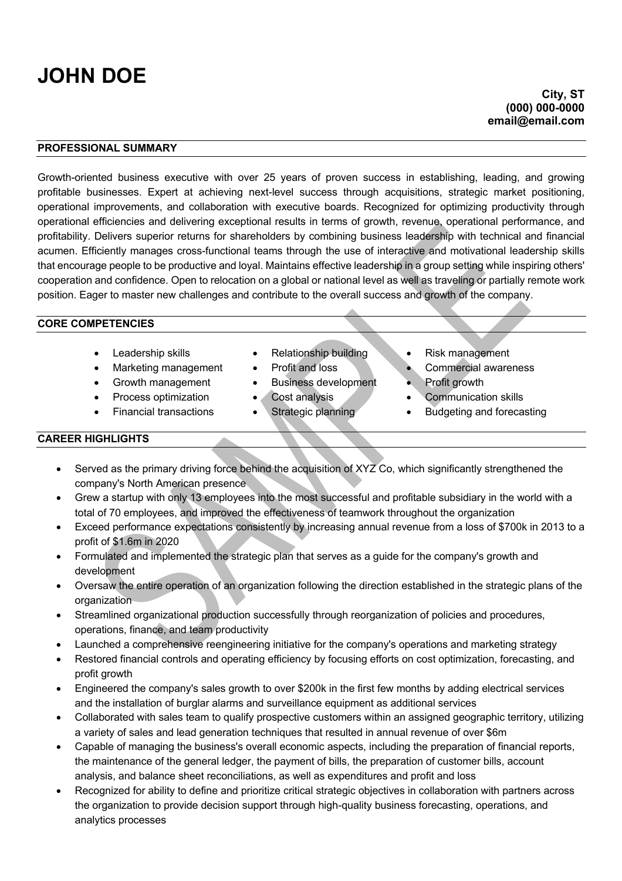# **JOHN DOE**

#### **PROFESSIONAL SUMMARY**

Growth-oriented business executive with over 25 years of proven success in establishing, leading, and growing profitable businesses. Expert at achieving next-level success through acquisitions, strategic market positioning, operational improvements, and collaboration with executive boards. Recognized for optimizing productivity through operational efficiencies and delivering exceptional results in terms of growth, revenue, operational performance, and profitability. Delivers superior returns for shareholders by combining business leadership with technical and financial acumen. Efficiently manages cross-functional teams through the use of interactive and motivational leadership skills that encourage people to be productive and loyal. Maintains effective leadership in a group setting while inspiring others' cooperation and confidence. Open to relocation on a global or national level as well as traveling or partially remote work position. Eager to master new challenges and contribute to the overall success and growth of the company.

#### **CORE COMPETENCIES**

- 
- Marketing management Profit and loss Commercial awareness
- Growth management Business development Profit growth
- 
- 
- 
- 
- 
- 
- 
- Leadership skills Relationship building Risk management
	-
	-
	- **Process optimization Cost analysis Communication skills**
- Financial transactions Strategic planning Budgeting and forecasting

### **CAREER HIGHLIGHTS**

- Served as the primary driving force behind the acquisition of XYZ Co, which significantly strengthened the company's North American presence
- Grew a startup with only 13 employees into the most successful and profitable subsidiary in the world with a total of 70 employees, and improved the effectiveness of teamwork throughout the organization
- Exceed performance expectations consistently by increasing annual revenue from a loss of \$700k in 2013 to a profit of \$1.6m in 2020
- Formulated and implemented the strategic plan that serves as a guide for the company's growth and development
- Oversaw the entire operation of an organization following the direction established in the strategic plans of the organization
- Streamlined organizational production successfully through reorganization of policies and procedures, operations, finance, and team productivity
- Launched a comprehensive reengineering initiative for the company's operations and marketing strategy
- Restored financial controls and operating efficiency by focusing efforts on cost optimization, forecasting, and profit growth
- Engineered the company's sales growth to over \$200k in the first few months by adding electrical services and the installation of burglar alarms and surveillance equipment as additional services
- Collaborated with sales team to qualify prospective customers within an assigned geographic territory, utilizing a variety of sales and lead generation techniques that resulted in annual revenue of over \$6m
- Capable of managing the business's overall economic aspects, including the preparation of financial reports, the maintenance of the general ledger, the payment of bills, the preparation of customer bills, account analysis, and balance sheet reconciliations, as well as expenditures and profit and loss
- Recognized for ability to define and prioritize critical strategic objectives in collaboration with partners across the organization to provide decision support through high-quality business forecasting, operations, and analytics processes